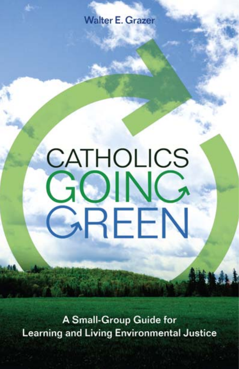**Walter E. Grazer** 

# **CATHOLICS** GOING GREEN

**A Small-Group Guide for Learning and Living Environmental Justice**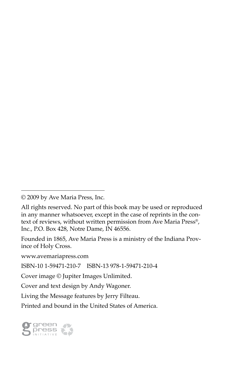Founded in 1865, Ave Maria Press is a ministry of the Indiana Province of Holy Cross.

www.avemariapress.com

ISBN-10 1-59471-210-7 ISBN-13 978-1-59471-210-4

Cover image © Jupiter Images Unlimited.

Cover and text design by Andy Wagoner.

Living the Message features by Jerry Filteau.

Printed and bound in the United States of America.



<sup>© 2009</sup> by Ave Maria Press, Inc.

All rights reserved. No part of this book may be used or reproduced in any manner whatsoever, except in the case of reprints in the context of reviews, without written permission from Ave Maria Press®, Inc., P.O. Box 428, Notre Dame, IN 46556.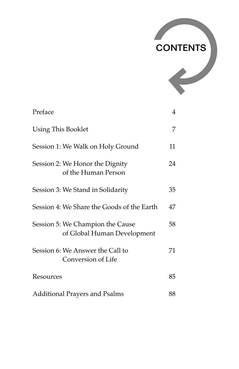

| Preface                                                         | 4  |
|-----------------------------------------------------------------|----|
| Using This Booklet                                              | 7  |
| Session 1: We Walk on Holy Ground                               | 11 |
| Session 2: We Honor the Dignity<br>of the Human Person          | 24 |
| Session 3: We Stand in Solidarity                               | 35 |
| Session 4: We Share the Goods of the Earth                      | 47 |
| Session 5: We Champion the Cause<br>of Global Human Development | 58 |
| Session 6: We Answer the Call to<br>Conversion of Life          | 71 |
| Resources                                                       | 85 |
| <b>Additional Prayers and Psalms</b>                            | 88 |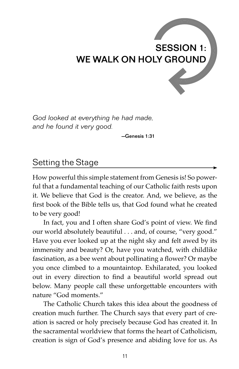# SESSION 1: WE WALK ON HOLY GROUND

*God looked at everything he had made, and he found it very good.*

—Genesis 1:31

#### Setting the Stage

How powerful this simple statement from Genesis is! So powerful that a fundamental teaching of our Catholic faith rests upon it. We believe that God is the creator. And, we believe, as the first book of the Bible tells us, that God found what he created to be very good!

In fact, you and I often share God's point of view. We find our world absolutely beautiful . . . and, of course, "very good." Have you ever looked up at the night sky and felt awed by its immensity and beauty? Or, have you watched, with childlike fascination, as a bee went about pollinating a flower? Or maybe you once climbed to a mountaintop. Exhilarated, you looked out in every direction to find a beautiful world spread out below. Many people call these unforgettable encounters with nature "God moments."

The Catholic Church takes this idea about the goodness of creation much further. The Church says that every part of creation is sacred or holy precisely because God has created it. In the sacramental worldview that forms the heart of Catholicism, creation is sign of God's presence and abiding love for us. As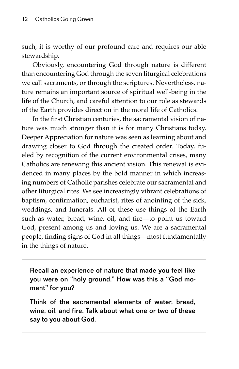such, it is worthy of our profound care and requires our able stewardship.

Obviously, encountering God through nature is different than encountering God through the seven liturgical celebrations we call sacraments, or through the scriptures. Nevertheless, nature remains an important source of spiritual well-being in the life of the Church, and careful attention to our role as stewards of the Earth provides direction in the moral life of Catholics.

In the first Christian centuries, the sacramental vision of nature was much stronger than it is for many Christians today. Deeper Appreciation for nature was seen as learning about and drawing closer to God through the created order. Today, fueled by recognition of the current environmental crises, many Catholics are renewing this ancient vision. This renewal is evidenced in many places by the bold manner in which increasing numbers of Catholic parishes celebrate our sacramental and other liturgical rites. We see increasingly vibrant celebrations of baptism, confirmation, eucharist, rites of anointing of the sick, weddings, and funerals. All of these use things of the Earth such as water, bread, wine, oil, and fire-to point us toward God, present among us and loving us. We are a sacramental people, finding signs of God in all things—most fundamentally in the things of nature.

Recall an experience of nature that made you feel like you were on "holy ground." How was this a "God moment" for you?

Think of the sacramental elements of water, bread, wine, oil, and fire. Talk about what one or two of these say to you about God.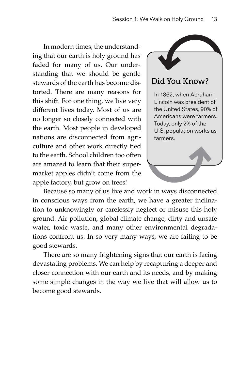In modern times, the understanding that our earth is holy ground has faded for many of us. Our understanding that we should be gentle stewards of the earth has become distorted. There are many reasons for this shift. For one thing, we live very different lives today. Most of us are no longer so closely connected with the earth. Most people in developed nations are disconnected from agriculture and other work directly tied to the earth. School children too often are amazed to learn that their supermarket apples didn't come from the apple factory, but grow on trees!



#### Did You Know?

In 1862, when Abraham Lincoln was president of the United States, 90% of Americans were farmers. Today, only 2% of the U.S. population works as farmers.

Because so many of us live and work in ways disconnected in conscious ways from the earth, we have a greater inclination to unknowingly or carelessly neglect or misuse this holy ground. Air pollution, global climate change, dirty and unsafe water, toxic waste, and many other environmental degradations confront us. In so very many ways, we are failing to be good stewards.

There are so many frightening signs that our earth is facing devastating problems. We can help by recapturing a deeper and closer connection with our earth and its needs, and by making some simple changes in the way we live that will allow us to become good stewards.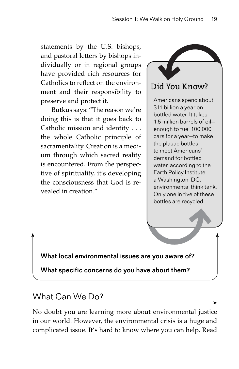statements by the U.S. bishops, and pastoral letters by bishops individually or in regional groups have provided rich resources for Catholics to reflect on the environment and their responsibility to preserve and protect it.

Butkus says: "The reason we're doing this is that it goes back to Catholic mission and identity . . . the whole Catholic principle of sacramentality. Creation is a medium through which sacred reality is encountered. From the perspective of spirituality, it's developing the consciousness that God is revealed in creation."

## Did You Know?

Americans spend about \$11 billion a year on bottled water. It takes 1.5 million barrels of oil enough to fuel 100,000 cars for a year—to make the plastic bottles to meet Americans' demand for bottled water, according to the Earth Policy Institute, a Washington, DC, environmental think tank. Only one in five of these bottles are recycled.

What local environmental issues are you aware of?

What specific concerns do you have about them?

### What Can We Do?

No doubt you are learning more about environmental justice in our world. However, the environmental crisis is a huge and complicated issue. It's hard to know where you can help. Read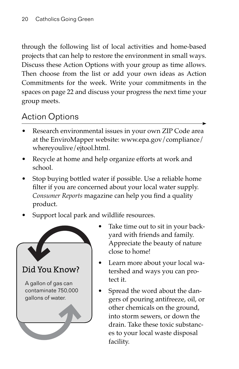through the following list of local activities and home-based projects that can help to restore the environment in small ways. Discuss these Action Options with your group as time allows. Then choose from the list or add your own ideas as Action Commitments for the week. Write your commitments in the spaces on page 22 and discuss your progress the next time your group meets.

## Action Options

- Research environmental issues in your own ZIP Code area at the EnviroMapper website: www.epa.gov/compliance/ whereyoulive/ejtool.html.
- Recycle at home and help organize efforts at work and school.
- Stop buying bottled water if possible. Use a reliable home filter if you are concerned about your local water supply. *Consumer Reports* magazine can help you find a quality product.
- Support local park and wildlife resources.



- Take time out to sit in your backyard with friends and family. Appreciate the beauty of nature close to home!
- Learn more about your local watershed and ways you can protect it.
- Spread the word about the dangers of pouring antifreeze, oil, or other chemicals on the ground, into storm sewers, or down the drain. Take these toxic substances to your local waste disposal facility.